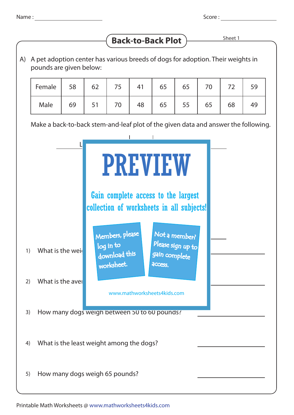